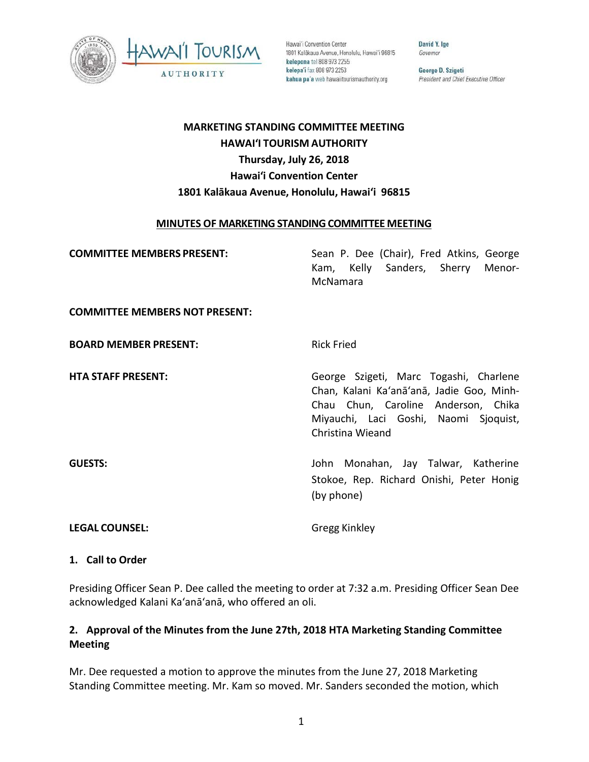

Hawai'i Convention Center 1801 Kalākaua Avenue, Honolulu, Hawai'i 96815 kelepona tel 808 973 2255 kelepa'i fax 808 973 2253 kahua pa'a web hawaiitourismauthority.org

David Y. Ige Governor

George D. Szigeti President and Chief Executive Officer

# **MARKETING STANDING COMMITTEE MEETING HAWAI'I TOURISM AUTHORITY Thursday, July 26, 2018 Hawai'i Convention Center 1801 Kalākaua Avenue, Honolulu, Hawai'i 96815**

#### **MINUTES OF MARKETING STANDING COMMITTEE MEETING**

**COMMITTEE MEMBERS PRESENT:** Sean P. Dee (Chair), Fred Atkins, George Kam, Kelly Sanders, Sherry Menor-McNamara **COMMITTEE MEMBERS NOT PRESENT: BOARD MEMBER PRESENT:** Rick Fried **HTA STAFF PRESENT:** George Szigeti, Marc Togashi, Charlene Chan, Kalani Ka'anā'anā, Jadie Goo, Minh-Chau Chun, Caroline Anderson, Chika Miyauchi, Laci Goshi, Naomi Sjoquist,

**GUESTS:** John Monahan, Jay Talwar, Katherine Stokoe, Rep. Richard Onishi, Peter Honig (by phone)

**LEGAL COUNSEL:** Gregg Kinkley

Christina Wieand

#### **1. Call to Order**

Presiding Officer Sean P. Dee called the meeting to order at 7:32 a.m. Presiding Officer Sean Dee acknowledged Kalani Ka'anā'anā, who offered an oli.

# **2. Approval of the Minutes from the June 27th, 2018 HTA Marketing Standing Committee Meeting**

Mr. Dee requested a motion to approve the minutes from the June 27, 2018 Marketing Standing Committee meeting. Mr. Kam so moved. Mr. Sanders seconded the motion, which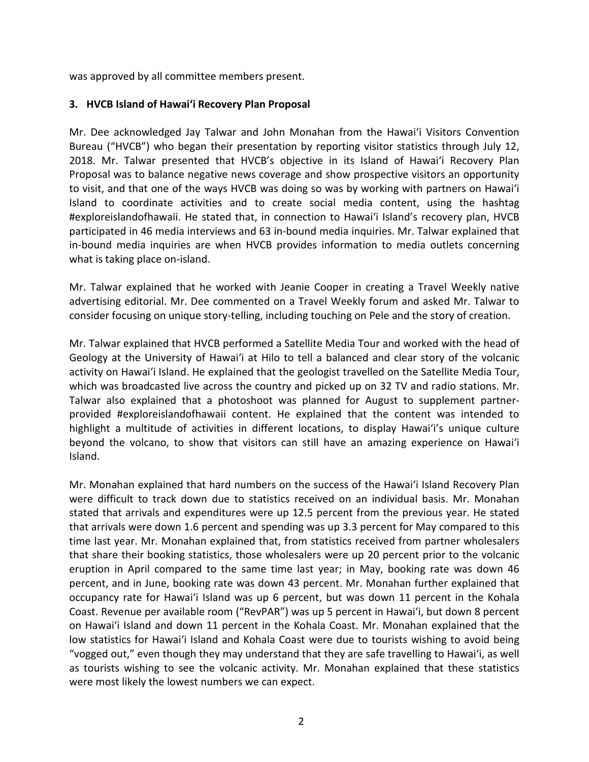was approved by all committee members present.

#### **3. HVCB Island of Hawai'i Recovery Plan Proposal**

Mr. Dee acknowledged Jay Talwar and John Monahan from the Hawai'i Visitors Convention Bureau ("HVCB") who began their presentation by reporting visitor statistics through July 12, 2018. Mr. Talwar presented that HVCB's objective in its Island of Hawai'i Recovery Plan Proposal was to balance negative news coverage and show prospective visitors an opportunity to visit, and that one of the ways HVCB was doing so was by working with partners on Hawai'i Island to coordinate activities and to create social media content, using the hashtag #exploreislandofhawaii. He stated that, in connection to Hawai'i Island's recovery plan, HVCB participated in 46 media interviews and 63 in-bound media inquiries. Mr. Talwar explained that in-bound media inquiries are when HVCB provides information to media outlets concerning what is taking place on-island.

Mr. Talwar explained that he worked with Jeanie Cooper in creating a Travel Weekly native advertising editorial. Mr. Dee commented on a Travel Weekly forum and asked Mr. Talwar to consider focusing on unique story-telling, including touching on Pele and the story of creation.

Mr. Talwar explained that HVCB performed a Satellite Media Tour and worked with the head of Geology at the University of Hawaiʻi at Hilo to tell a balanced and clear story of the volcanic activity on Hawaiʻi Island. He explained that the geologist travelled on the Satellite Media Tour, which was broadcasted live across the country and picked up on 32 TV and radio stations. Mr. Talwar also explained that a photoshoot was planned for August to supplement partnerprovided #exploreislandofhawaii content. He explained that the content was intended to highlight a multitude of activities in different locations, to display Hawaiʻi's unique culture beyond the volcano, to show that visitors can still have an amazing experience on Hawaiʻi Island.

Mr. Monahan explained that hard numbers on the success of the Hawaiʻi Island Recovery Plan were difficult to track down due to statistics received on an individual basis. Mr. Monahan stated that arrivals and expenditures were up 12.5 percent from the previous year. He stated that arrivals were down 1.6 percent and spending was up 3.3 percent for May compared to this time last year. Mr. Monahan explained that, from statistics received from partner wholesalers that share their booking statistics, those wholesalers were up 20 percent prior to the volcanic eruption in April compared to the same time last year; in May, booking rate was down 46 percent, and in June, booking rate was down 43 percent. Mr. Monahan further explained that occupancy rate for Hawaiʻi Island was up 6 percent, but was down 11 percent in the Kohala Coast. Revenue per available room ("RevPAR") was up 5 percent in Hawaiʻi, but down 8 percent on Hawaiʻi Island and down 11 percent in the Kohala Coast. Mr. Monahan explained that the low statistics for Hawaiʻi Island and Kohala Coast were due to tourists wishing to avoid being "vogged out," even though they may understand that they are safe travelling to Hawaiʻi, as well as tourists wishing to see the volcanic activity. Mr. Monahan explained that these statistics were most likely the lowest numbers we can expect.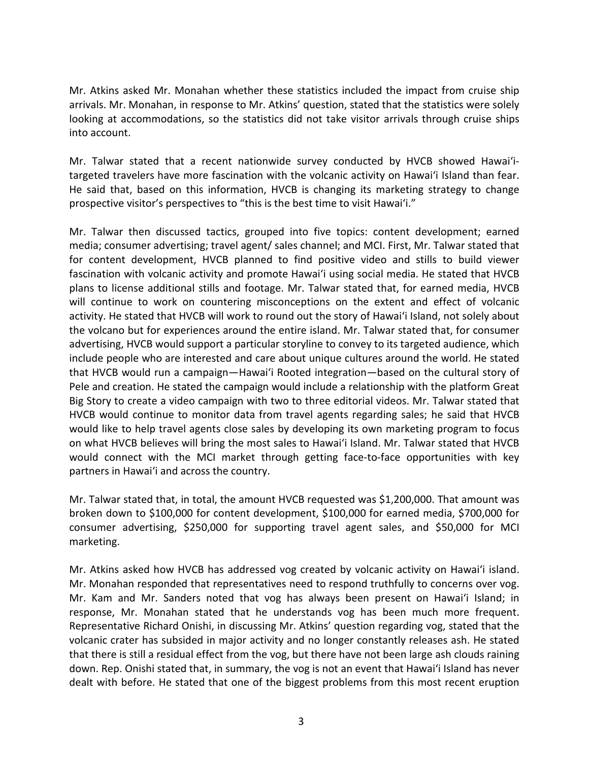Mr. Atkins asked Mr. Monahan whether these statistics included the impact from cruise ship arrivals. Mr. Monahan, in response to Mr. Atkins' question, stated that the statistics were solely looking at accommodations, so the statistics did not take visitor arrivals through cruise ships into account.

Mr. Talwar stated that a recent nationwide survey conducted by HVCB showed Hawai'itargeted travelers have more fascination with the volcanic activity on Hawai'i Island than fear. He said that, based on this information, HVCB is changing its marketing strategy to change prospective visitor's perspectives to "this is the best time to visit Hawai'i."

Mr. Talwar then discussed tactics, grouped into five topics: content development; earned media; consumer advertising; travel agent/ sales channel; and MCI. First, Mr. Talwar stated that for content development, HVCB planned to find positive video and stills to build viewer fascination with volcanic activity and promote Hawai'i using social media. He stated that HVCB plans to license additional stills and footage. Mr. Talwar stated that, for earned media, HVCB will continue to work on countering misconceptions on the extent and effect of volcanic activity. He stated that HVCB will work to round out the story of Hawai'i Island, not solely about the volcano but for experiences around the entire island. Mr. Talwar stated that, for consumer advertising, HVCB would support a particular storyline to convey to its targeted audience, which include people who are interested and care about unique cultures around the world. He stated that HVCB would run a campaign—Hawai'i Rooted integration—based on the cultural story of Pele and creation. He stated the campaign would include a relationship with the platform Great Big Story to create a video campaign with two to three editorial videos. Mr. Talwar stated that HVCB would continue to monitor data from travel agents regarding sales; he said that HVCB would like to help travel agents close sales by developing its own marketing program to focus on what HVCB believes will bring the most sales to Hawai'i Island. Mr. Talwar stated that HVCB would connect with the MCI market through getting face-to-face opportunities with key partners in Hawai'i and across the country.

Mr. Talwar stated that, in total, the amount HVCB requested was \$1,200,000. That amount was broken down to \$100,000 for content development, \$100,000 for earned media, \$700,000 for consumer advertising, \$250,000 for supporting travel agent sales, and \$50,000 for MCI marketing.

Mr. Atkins asked how HVCB has addressed vog created by volcanic activity on Hawai'i island. Mr. Monahan responded that representatives need to respond truthfully to concerns over vog. Mr. Kam and Mr. Sanders noted that vog has always been present on Hawai'i Island; in response, Mr. Monahan stated that he understands vog has been much more frequent. Representative Richard Onishi, in discussing Mr. Atkins' question regarding vog, stated that the volcanic crater has subsided in major activity and no longer constantly releases ash. He stated that there is still a residual effect from the vog, but there have not been large ash clouds raining down. Rep. Onishi stated that, in summary, the vog is not an event that Hawai'i Island has never dealt with before. He stated that one of the biggest problems from this most recent eruption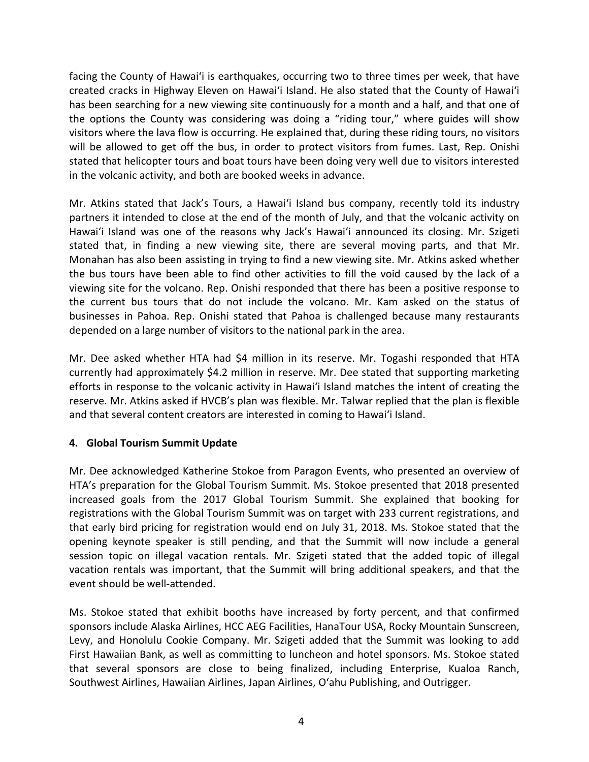facing the County of Hawai'i is earthquakes, occurring two to three times per week, that have created cracks in Highway Eleven on Hawai'i Island. He also stated that the County of Hawai'i has been searching for a new viewing site continuously for a month and a half, and that one of the options the County was considering was doing a "riding tour," where guides will show visitors where the lava flow is occurring. He explained that, during these riding tours, no visitors will be allowed to get off the bus, in order to protect visitors from fumes. Last, Rep. Onishi stated that helicopter tours and boat tours have been doing very well due to visitors interested in the volcanic activity, and both are booked weeks in advance.

Mr. Atkins stated that Jack's Tours, a Hawai'i Island bus company, recently told its industry partners it intended to close at the end of the month of July, and that the volcanic activity on Hawai'i Island was one of the reasons why Jack's Hawai'i announced its closing. Mr. Szigeti stated that, in finding a new viewing site, there are several moving parts, and that Mr. Monahan has also been assisting in trying to find a new viewing site. Mr. Atkins asked whether the bus tours have been able to find other activities to fill the void caused by the lack of a viewing site for the volcano. Rep. Onishi responded that there has been a positive response to the current bus tours that do not include the volcano. Mr. Kam asked on the status of businesses in Pahoa. Rep. Onishi stated that Pahoa is challenged because many restaurants depended on a large number of visitors to the national park in the area.

Mr. Dee asked whether HTA had \$4 million in its reserve. Mr. Togashi responded that HTA currently had approximately \$4.2 million in reserve. Mr. Dee stated that supporting marketing efforts in response to the volcanic activity in Hawai'i Island matches the intent of creating the reserve. Mr. Atkins asked if HVCB's plan was flexible. Mr. Talwar replied that the plan is flexible and that several content creators are interested in coming to Hawai'i Island.

## **4. Global Tourism Summit Update**

Mr. Dee acknowledged Katherine Stokoe from Paragon Events, who presented an overview of HTA's preparation for the Global Tourism Summit. Ms. Stokoe presented that 2018 presented increased goals from the 2017 Global Tourism Summit. She explained that booking for registrations with the Global Tourism Summit was on target with 233 current registrations, and that early bird pricing for registration would end on July 31, 2018. Ms. Stokoe stated that the opening keynote speaker is still pending, and that the Summit will now include a general session topic on illegal vacation rentals. Mr. Szigeti stated that the added topic of illegal vacation rentals was important, that the Summit will bring additional speakers, and that the event should be well-attended.

Ms. Stokoe stated that exhibit booths have increased by forty percent, and that confirmed sponsors include Alaska Airlines, HCC AEG Facilities, HanaTour USA, Rocky Mountain Sunscreen, Levy, and Honolulu Cookie Company. Mr. Szigeti added that the Summit was looking to add First Hawaiian Bank, as well as committing to luncheon and hotel sponsors. Ms. Stokoe stated that several sponsors are close to being finalized, including Enterprise, Kualoa Ranch, Southwest Airlines, Hawaiian Airlines, Japan Airlines, O'ahu Publishing, and Outrigger.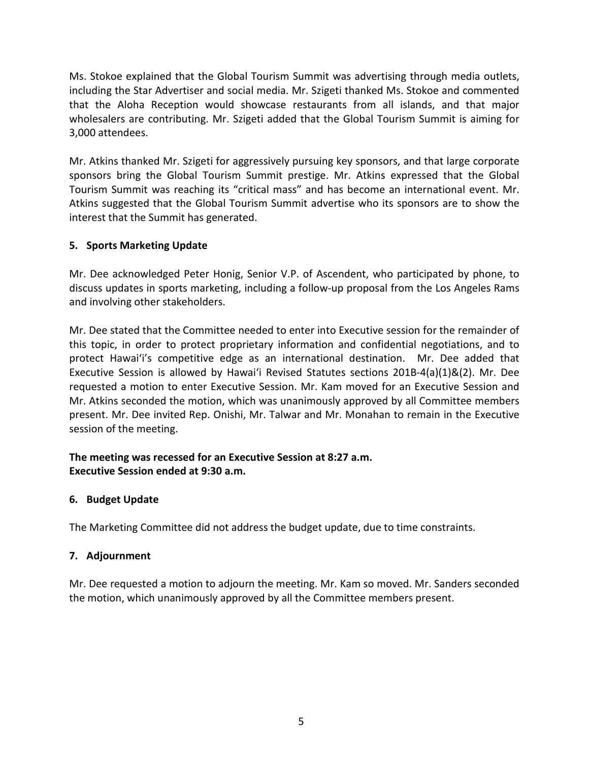Ms. Stokoe explained that the Global Tourism Summit was advertising through media outlets, including the Star Advertiser and social media. Mr. Szigeti thanked Ms. Stokoe and commented that the Aloha Reception would showcase restaurants from all islands, and that major wholesalers are contributing. Mr. Szigeti added that the Global Tourism Summit is aiming for 3,000 attendees.

Mr. Atkins thanked Mr. Szigeti for aggressively pursuing key sponsors, and that large corporate sponsors bring the Global Tourism Summit prestige. Mr. Atkins expressed that the Global Tourism Summit was reaching its "critical mass" and has become an international event. Mr. Atkins suggested that the Global Tourism Summit advertise who its sponsors are to show the interest that the Summit has generated.

# **5. Sports Marketing Update**

Mr. Dee acknowledged Peter Honig, Senior V.P. of Ascendent, who participated by phone, to discuss updates in sports marketing, including a follow-up proposal from the Los Angeles Rams and involving other stakeholders.

Mr. Dee stated that the Committee needed to enter into Executive session for the remainder of this topic, in order to protect proprietary information and confidential negotiations, and to protect Hawaiʻi's competitive edge as an international destination. Mr. Dee added that Executive Session is allowed by Hawaiʻi Revised Statutes sections 201B-4(a)(1)&(2). Mr. Dee requested a motion to enter Executive Session. Mr. Kam moved for an Executive Session and Mr. Atkins seconded the motion, which was unanimously approved by all Committee members present. Mr. Dee invited Rep. Onishi, Mr. Talwar and Mr. Monahan to remain in the Executive session of the meeting.

## **The meeting was recessed for an Executive Session at 8:27 a.m. Executive Session ended at 9:30 a.m.**

## **6. Budget Update**

The Marketing Committee did not address the budget update, due to time constraints.

# **7. Adjournment**

Mr. Dee requested a motion to adjourn the meeting. Mr. Kam so moved. Mr. Sanders seconded the motion, which unanimously approved by all the Committee members present.